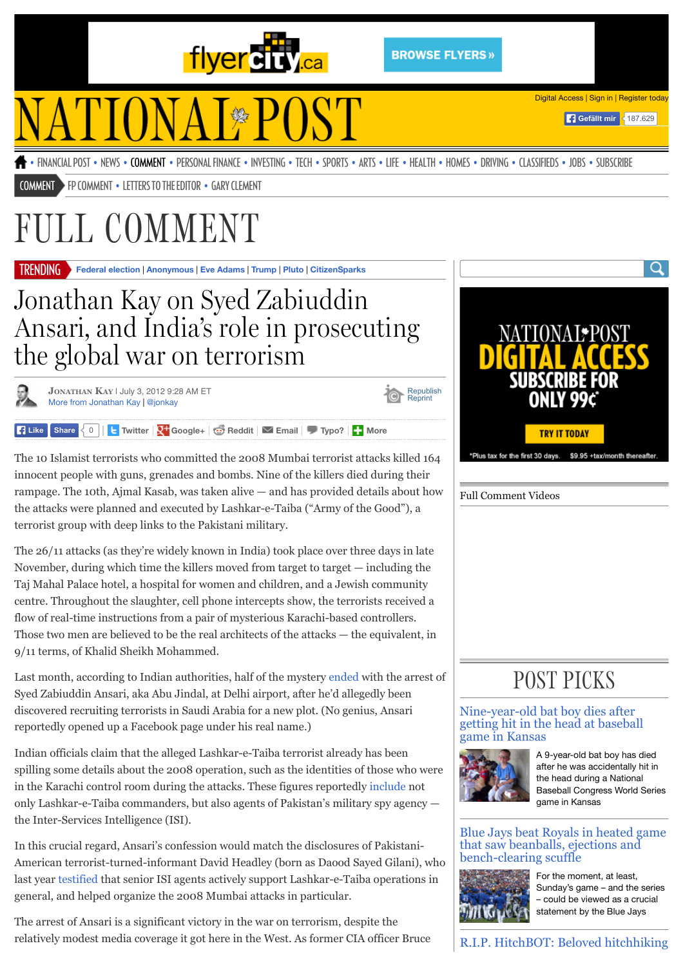

[Republish](http://license.icopyright.net/rights/oneButtonTag.act?tag=3.11150?icx_id=653467) Reprint

# **TIONAI\*POST**

[Digital Access](http://news.nationalpost.com/full-comment/jonathan-kay-on-syed-zabiuddin-ansari-and-indias-role-in-the-global-war-on-terrorism#Digital%20Access) | [Sign in](http://news.nationalpost.com/full-comment/jonathan-kay-on-syed-zabiuddin-ansari-and-indias-role-in-the-global-war-on-terrorism#Sign%20In) | [Register today](http://news.nationalpost.com/full-comment/jonathan-kay-on-syed-zabiuddin-ansari-and-indias-role-in-the-global-war-on-terrorism#Register)

**Gefällt mir** 187.629

• [FINANCIAL POST](http://www.financialpost.com/) • [NEWS](http://news.nationalpost.com/category/news/) • [COMMENT](http://news.nationalpost.com/category/full-comment/) • [PERSONAL FINANCE](http://business.financialpost.com/category/personal-finance/) • [INVESTING](http://business.financialpost.com/category/investing/) • [TECH](http://business.financialpost.com/category/fp-tech-desk/) • [SPORTS](http://news.nationalpost.com/category/sports/) • [ARTS](http://news.nationalpost.com/category/arts/) • [LIFE](http://news.nationalpost.com/category/life/) • [HEALTH](http://news.nationalpost.com/category/health/) • [HOMES](http://news.nationalpost.com/category/homes/) • [DRIVING](http://driving.ca/) • [CLASSIFIEDS](http://www.nationalpost.com/classifieds/) • [JOBS](http://www.workopolis.com/jobsearch/whitelabel/nationalpost/home/) • [SUBSCRIBE](http://www.nationalpost.com/subscribe/index.html)

[COMMENT](http://news.nationalpost.com/category/full-comment/) [FP COMMENT](http://opinion.financialpost.com/category/fp-comment/) • [LETTERS TO THE EDITOR](http://news.nationalpost.com/category/full-comment/letters/) • [GARY CLEMENT](http://news.nationalpost.com/tag/gary-clement/)

## ULL COMMENT

**[Federal election](http://news.nationalpost.com/tag/federal-election-2015)** | **[Anonymous](http://news.nationalpost.com/news/canada/anonymous-threatens-to-decrypt-text-messages-from-john-baird-to-reveal-real-reason-he-left-politics)** | **[Eve Adams](http://news.nationalpost.com/tag/eve-adams)** | **[Trump](http://news.nationalpost.com/tag/donald-trump)** | **[Pluto](http://news.nationalpost.com/tag/pluto)** | **[CitizenSparks](http://news.nationalpost.com/category/news/citizensparks)** TRENDING

## Jonathan Kay on Syed Zabiuddin Ansari, and India's role in prosecuting the global war on terrorism

**[JONATHAN KAY](http://news.nationalpost.com/author/jonkay88)** | July 3, 2012 9:28 AM ET [More from Jonathan Kay](http://news.nationalpost.com/author/jonkay88) | [@jonkay](http://twitter.com/jonkay)

**Typose**  $\left\{ \begin{array}{c} 0 \\ 0 \end{array} \right\}$  **L** [Twitter](http://twitter.com/share?text=Jonathan+Kay+on+Syed+Zabiuddin+Ansari%2C+and+India%E2%80%99s+role+in+prosecuting+the+global+war+on+terrorism&url=http%3A%2F%2Fnews.nationalpost.com%2Ffull-comment%2Fjonathan-kay-on-syed-zabiuddin-ansari-and-indias-role-in-the-global-war-on-terrorism&related=postedtoronto,nationalpost&via=fullcomment) **N** [Google+](https://plus.google.com/share?url=http%3A%2F%2Fnews.nationalpost.com%2Ffull-comment%2Fjonathan-kay-on-syed-zabiuddin-ansari-and-indias-role-in-the-global-war-on-terrorism)  $\bigcirc$  [Reddit](http://reddit.com/submit?url=http%3A%2F%2Fnews.nationalpost.com%2Ffull-comment%2Fjonathan-kay-on-syed-zabiuddin-ansari-and-indias-role-in-the-global-war-on-terrorism&title=Jonathan+Kay+on+Syed+Zabiuddin+Ansari%2C+and+India%E2%80%99s+role+in+prosecuting+the+global+war+on+terrorism) **M** [Email](http://news.nationalpost.com/email-form/?email-post=653467) **I** [Typo?](http://news.nationalpost.com/report-a-typo/) **H** [More](http://news.nationalpost.com/full-comment/jonathan-kay-on-syed-zabiuddin-ansari-and-indias-role-in-the-global-war-on-terrorism#More%20sharing%20options)

The 10 Islamist terrorists who committed the 2008 Mumbai terrorist attacks killed 164 innocent people with guns, grenades and bombs. Nine of the killers died during their rampage. The 10th, Ajmal Kasab, was taken alive — and has provided details about how the attacks were planned and executed by Lashkar-e-Taiba ("Army of the Good"), a terrorist group with deep links to the Pakistani military.

The 26/11 attacks (as they're widely known in India) took place over three days in late November, during which time the killers moved from target to target  $-$  including the Taj Mahal Palace hotel, a hospital for women and children, and a Jewish community centre. Throughout the slaughter, cell phone intercepts show, the terrorists received a flow of real-time instructions from a pair of mysterious Karachi-based controllers. Those two men are believed to be the real architects of the attacks — the equivalent, in 9/11 terms, of Khalid Sheikh Mohammed.

Last month, according to Indian authorities, half of the mystery [ended](http://www.npr.org/templates/story/story.php?storyId=156098354) with the arrest of Syed Zabiuddin Ansari, aka Abu Jindal, at Delhi airport, after he'd allegedly been discovered recruiting terrorists in Saudi Arabia for a new plot. (No genius, Ansari reportedly opened up a Facebook page under his real name.)

Indian officials claim that the alleged Lashkar-e-Taiba terrorist already has been spilling some details about the 2008 operation, such as the identities of those who were in the Karachi control room during the attacks. These figures reportedly [include](http://www.hindustantimes.com/India-news/NewDelhi/2-men-in-control-room-looked-like-ISI-officers-Abu-Jundal/Article1-881903.aspx) not only Lashkar-e-Taiba commanders, but also agents of Pakistan's military spy agency the Inter-Services Intelligence (ISI).

In this crucial regard, Ansari's confession would match the disclosures of Pakistani-American terrorist-turned-informant David Headley (born as Daood Sayed Gilani), who last year [testified](http://www.telegraph.co.uk/news/worldnews/asia/india/8532078/David-Headley-tells-court-of-ISI-links-to-Lashkar-e-Taiba.html) that senior ISI agents actively support Lashkar-e-Taiba operations in general, and helped organize the 2008 Mumbai attacks in particular.

The arrest of Ansari is a significant victory in the war on terrorism, despite the relatively modest media coverage it got here in the West. As former CIA officer Bruce



Full Comment Videos

### POST PICKS

#### Nine-year-old bat boy dies after [getting hit in the head at baseball](http://news.nationalpost.com/news/world/nine-year-old-bat-boy-killed-after-getting-hit-in-the-head-at-baseball-game-in-kansas) game in Kansas



A 9-year-old bat boy has died after he was accidentally hit in the head during a National Baseball Congress World Series game in Kansas

#### [Blue Jays beat Royals in heated game](http://news.nationalpost.com/sports/mlb/toronto-blue-jays-beat-kansas-city-royals-in-heated-game-that-saw-beanballs-ejections-and-bench-clearing-scuffle) that saw beanballs, ejections and bench-clearing scuffle



For the moment, at least, Sunday's game – and the series – could be viewed as a crucial statement by the Blue Jays

[R.I.P. HitchBOT: Beloved hitchhiking](http://news.nationalpost.com/news/rip-hitchbot)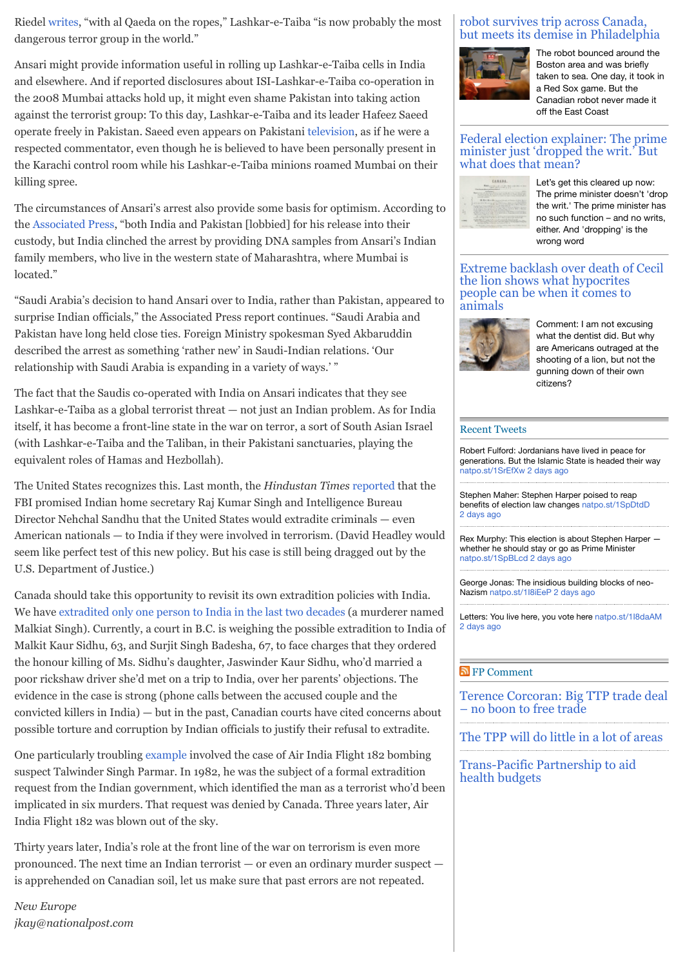Riedel [writes,](http://www.thedailybeast.com/articles/2012/07/01/mumbai-terror-attack-group-lashkar-e-tayyiba-now-more-dangerous-than-al-qaeda.html) "with al Qaeda on the ropes," Lashkar-e-Taiba "is now probably the most dangerous terror group in the world."

Ansari might provide information useful in rolling up Lashkar-e-Taiba cells in India and elsewhere. And if reported disclosures about ISI-Lashkar-e-Taiba co-operation in the 2008 Mumbai attacks hold up, it might even shame Pakistan into taking action against the terrorist group: To this day, Lashkar-e-Taiba and its leader Hafeez Saeed operate freely in Pakistan. Saeed even appears on Pakistani [television,](http://topics.nytimes.com/top/reference/timestopics/organizations/l/lashkaretaiba/index.html) as if he were a respected commentator, even though he is believed to have been personally present in the Karachi control room while his Lashkar-e-Taiba minions roamed Mumbai on their killing spree.

The circumstances of Ansari's arrest also provide some basis for optimism. According to the [Associated Press,](http://www.npr.org/templates/story/story.php?storyId=156098354) "both India and Pakistan [lobbied] for his release into their custody, but India clinched the arrest by providing DNA samples from Ansari's Indian family members, who live in the western state of Maharashtra, where Mumbai is located."

"Saudi Arabia's decision to hand Ansari over to India, rather than Pakistan, appeared to surprise Indian officials," the Associated Press report continues. "Saudi Arabia and Pakistan have long held close ties. Foreign Ministry spokesman Syed Akbaruddin described the arrest as something 'rather new' in Saudi-Indian relations. 'Our relationship with Saudi Arabia is expanding in a variety of ways.' "

The fact that the Saudis co-operated with India on Ansari indicates that they see Lashkar-e-Taiba as a global terrorist threat — not just an Indian problem. As for India itself, it has become a front-line state in the war on terror, a sort of South Asian Israel (with Lashkar-e-Taiba and the Taliban, in their Pakistani sanctuaries, playing the equivalent roles of Hamas and Hezbollah).

The United States recognizes this. Last month, the *Hindustan Times* [reported](http://www.hindustantimes.com/India-news/NewDelhi/Will-hand-over-Khalistan-separatists-in-US-FBI-to-India/Article1-878621.aspx) that the FBI promised Indian home secretary Raj Kumar Singh and Intelligence Bureau Director Nehchal Sandhu that the United States would extradite criminals — even American nationals — to India if they were involved in terrorism. (David Headley would seem like perfect test of this new policy. But his case is still being dragged out by the U.S. Department of Justice.)

Canada should take this opportunity to revisit its own extradition policies with India. We have [extradited only one person to India in the last two decades](http://news.nationalpost.com/2012/01/09/extradition-put-to-test-in-honour-killing-case/) (a murderer named Malkiat Singh). Currently, a court in B.C. is weighing the possible extradition to India of Malkit Kaur Sidhu, 63, and Surjit Singh Badesha, 67, to face charges that they ordered the honour killing of Ms. Sidhu's daughter, Jaswinder Kaur Sidhu, who'd married a poor rickshaw driver she'd met on a trip to India, over her parents' objections. The evidence in the case is strong (phone calls between the accused couple and the convicted killers in India) — but in the past, Canadian courts have cited concerns about possible torture and corruption by Indian officials to justify their refusal to extradite.

One particularly troubling [example](http://www.cbc.ca/news/background/airindia/documents/tab1.pdf) involved the case of Air India Flight 182 bombing suspect Talwinder Singh Parmar. In 1982, he was the subject of a formal extradition request from the Indian government, which identified the man as a terrorist who'd been implicated in six murders. That request was denied by Canada. Three years later, Air India Flight 182 was blown out of the sky.

Thirty years later, India's role at the front line of the war on terrorism is even more pronounced. The next time an Indian terrorist — or even an ordinary murder suspect is apprehended on Canadian soil, let us make sure that past errors are not repeated.

*New Europe jkay@nationalpost.com*

#### robot survives trip across Canada, [but meets its demise in Philadelphia](http://news.nationalpost.com/news/rip-hitchbot)



The robot bounced around the Boston area and was briefly taken to sea. One day, it took in a Red Sox game. But the Canadian robot never made it off the East Coast

#### [Federal election explainer: The prime](http://news.nationalpost.com/news/canada/canadian-politics/what-does-drop-the-writ-mean) minister just 'dropped the writ.' But what does that mean?



Let's get this cleared up now: The prime minister doesn't 'drop the writ.' The prime minister has no such function – and no writs, either. And 'dropping' is the wrong word

[Extreme backlash over death of Cecil](http://news.nationalpost.com/news/world/extreme-backlash-over-cecil-the-lion-shows-what-hypocrites-people-can-be-when-it-comes-to-animals) the lion shows what hypocrites people can be when it comes to animals



Comment: I am not excusing what the dentist did. But why are Americans outraged at the shooting of a lion, but not the gunning down of their own citizens?

#### [Recent Tweets](http://twitter.com/fullcomment)

Robert Fulford: Jordanians have lived in peace for generations. But the Islamic State is headed their way [natpo.st/1SrEfXw](http://natpo.st/1SrEfXw) [2 days ago](http://twitter.com/fullcomment/statuses/627441922081079302)

Stephen Maher: Stephen Harper poised to reap benefits of election law changes [natpo.st/1SpDtdD](http://natpo.st/1SpDtdD) [2 days ago](http://twitter.com/fullcomment/statuses/627272806409986049)

Rex Murphy: This election is about Stephen Harper whether he should stay or go as Prime Minister [natpo.st/1SpBLcd](http://natpo.st/1SpBLcd) [2 days ago](http://twitter.com/fullcomment/statuses/627269780232253440)

George Jonas: The insidious building blocks of neoNazism [natpo.st/1I8iEeP](http://natpo.st/1I8iEeP) [2 days ago](http://twitter.com/fullcomment/statuses/627232154443853824)

Letters: You live here, you vote here [natpo.st/1I8daAM](http://natpo.st/1I8daAM) [2 days ago](http://twitter.com/fullcomment/statuses/627224855314698241)

#### [FP Comment](http://business.financialpost.com/)

[Terence Corcoran: Big TTP trade deal](http://business.financialpost.com/fp-comment/terence-corcoran-big-ttp-trade-deal-no-boon-to-free-trade) – no boon to free trade

[The TPP will do little in a lot of areas](http://business.financialpost.com/fp-comment/the-tpp-will-do-little-in-a-lot-of-areas)

[Trans-Pacific Partnership to aid](http://business.financialpost.com/fp-comment/trans-pacific-partnership-to-aid-health-budgets) health budgets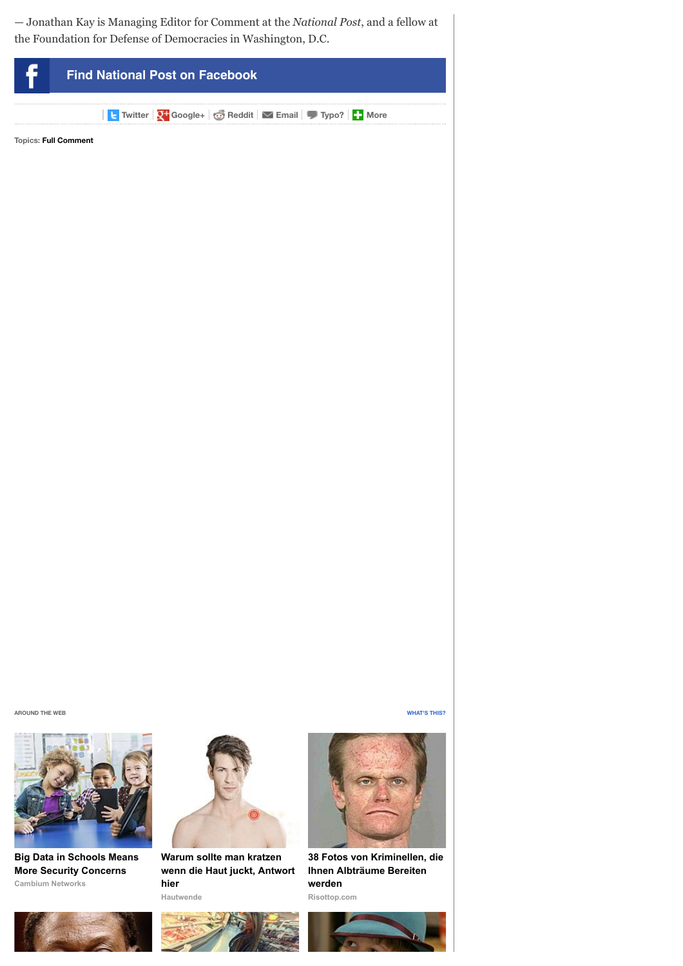— Jonathan Kay is Managing Editor for Comment at the *National Post*, and a fellow at the Foundation for Defense of Democracies in Washington, D.C.





**Cambium Networks [Big Data in Schools Means](http://bit.se/WAuZJH?utm_source=taboola&utm_medium=referral) More Security Concerns**



**Warum sollte man kratzen [wenn die Haut juckt, Antwort](https://www.hautwende.de/hautkrankheiten/nesselsucht?utm_source=CpC04tab&utm_medium=content&utm_campaign=CpC04) hier**

**Hautwende**





**[38 Fotos von Kriminellen, die](http://www.risottop.com/de/creepy/38-fotos-von-kriminellen-die-ihnen-albtraume-bereiten-werden/?utm_source=taboola-de&utm_medium=referral&utm_term=disqus-widget-npdigital&utm_campaign=taboola-de-10) Ihnen Albträume Bereiten werden**

**Risottop.com**